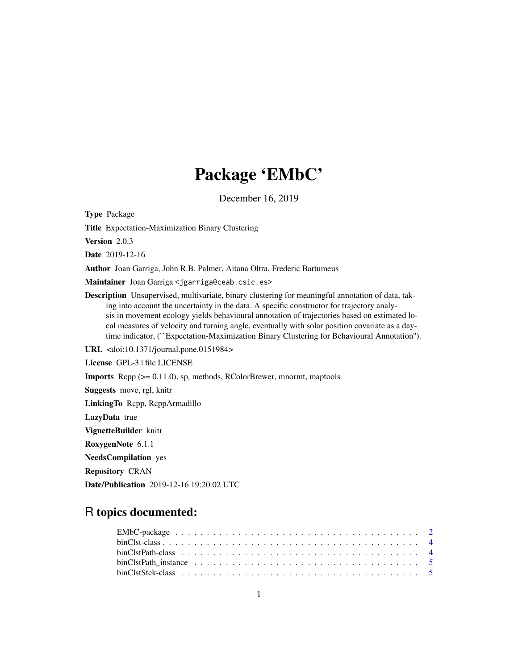# Package 'EMbC'

December 16, 2019

Type Package

Title Expectation-Maximization Binary Clustering

Version 2.0.3

Date 2019-12-16

Author Joan Garriga, John R.B. Palmer, Aitana Oltra, Frederic Bartumeus

Maintainer Joan Garriga <jgarriga@ceab.csic.es>

Description Unsupervised, multivariate, binary clustering for meaningful annotation of data, taking into account the uncertainty in the data. A specific constructor for trajectory analysis in movement ecology yields behavioural annotation of trajectories based on estimated local measures of velocity and turning angle, eventually with solar position covariate as a daytime indicator, (``Expectation-Maximization Binary Clustering for Behavioural Annotation'').

URL <doi:10.1371/journal.pone.0151984>

License GPL-3 | file LICENSE

Imports Rcpp (>= 0.11.0), sp, methods, RColorBrewer, mnormt, maptools

Suggests move, rgl, knitr

LinkingTo Rcpp, RcppArmadillo

LazyData true

VignetteBuilder knitr

RoxygenNote 6.1.1

NeedsCompilation yes

Repository CRAN

Date/Publication 2019-12-16 19:20:02 UTC

# R topics documented: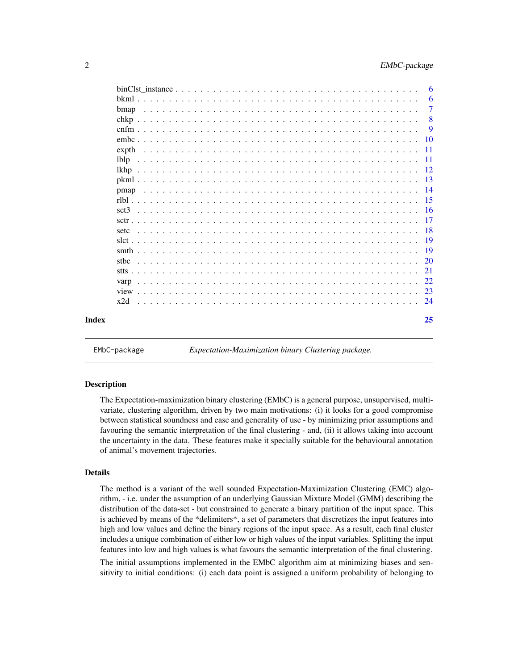<span id="page-1-0"></span>

|                  |             |  |  |  |  |  |  |  |  |  |  |  |  |  |  |  |  |  |  | 6              |
|------------------|-------------|--|--|--|--|--|--|--|--|--|--|--|--|--|--|--|--|--|--|----------------|
|                  |             |  |  |  |  |  |  |  |  |  |  |  |  |  |  |  |  |  |  | 6              |
|                  | <b>bmap</b> |  |  |  |  |  |  |  |  |  |  |  |  |  |  |  |  |  |  | $\overline{7}$ |
|                  |             |  |  |  |  |  |  |  |  |  |  |  |  |  |  |  |  |  |  | 8              |
|                  |             |  |  |  |  |  |  |  |  |  |  |  |  |  |  |  |  |  |  | 9              |
|                  |             |  |  |  |  |  |  |  |  |  |  |  |  |  |  |  |  |  |  | 10             |
|                  | expth       |  |  |  |  |  |  |  |  |  |  |  |  |  |  |  |  |  |  | -11            |
| lbl <sub>p</sub> |             |  |  |  |  |  |  |  |  |  |  |  |  |  |  |  |  |  |  | - 11           |
| lkhp             |             |  |  |  |  |  |  |  |  |  |  |  |  |  |  |  |  |  |  |                |
|                  |             |  |  |  |  |  |  |  |  |  |  |  |  |  |  |  |  |  |  |                |
|                  | pmap        |  |  |  |  |  |  |  |  |  |  |  |  |  |  |  |  |  |  |                |
|                  |             |  |  |  |  |  |  |  |  |  |  |  |  |  |  |  |  |  |  |                |
|                  |             |  |  |  |  |  |  |  |  |  |  |  |  |  |  |  |  |  |  |                |
|                  |             |  |  |  |  |  |  |  |  |  |  |  |  |  |  |  |  |  |  | -17            |
| setc             |             |  |  |  |  |  |  |  |  |  |  |  |  |  |  |  |  |  |  |                |
|                  |             |  |  |  |  |  |  |  |  |  |  |  |  |  |  |  |  |  |  |                |
|                  |             |  |  |  |  |  |  |  |  |  |  |  |  |  |  |  |  |  |  |                |
| stbc             |             |  |  |  |  |  |  |  |  |  |  |  |  |  |  |  |  |  |  |                |
|                  |             |  |  |  |  |  |  |  |  |  |  |  |  |  |  |  |  |  |  |                |
| varp             |             |  |  |  |  |  |  |  |  |  |  |  |  |  |  |  |  |  |  | 22             |
|                  |             |  |  |  |  |  |  |  |  |  |  |  |  |  |  |  |  |  |  | 23             |
| x2d              |             |  |  |  |  |  |  |  |  |  |  |  |  |  |  |  |  |  |  | -24            |
| Index            |             |  |  |  |  |  |  |  |  |  |  |  |  |  |  |  |  |  |  | 25             |

EMbC-package *Expectation-Maximization binary Clustering package.*

#### **Description**

The Expectation-maximization binary clustering (EMbC) is a general purpose, unsupervised, multivariate, clustering algorithm, driven by two main motivations: (i) it looks for a good compromise between statistical soundness and ease and generality of use - by minimizing prior assumptions and favouring the semantic interpretation of the final clustering - and, (ii) it allows taking into account the uncertainty in the data. These features make it specially suitable for the behavioural annotation of animal's movement trajectories.

#### Details

The method is a variant of the well sounded Expectation-Maximization Clustering (EMC) algorithm, - i.e. under the assumption of an underlying Gaussian Mixture Model (GMM) describing the distribution of the data-set - but constrained to generate a binary partition of the input space. This is achieved by means of the \*delimiters\*, a set of parameters that discretizes the input features into high and low values and define the binary regions of the input space. As a result, each final cluster includes a unique combination of either low or high values of the input variables. Splitting the input features into low and high values is what favours the semantic interpretation of the final clustering.

The initial assumptions implemented in the EMbC algorithm aim at minimizing biases and sensitivity to initial conditions: (i) each data point is assigned a uniform probability of belonging to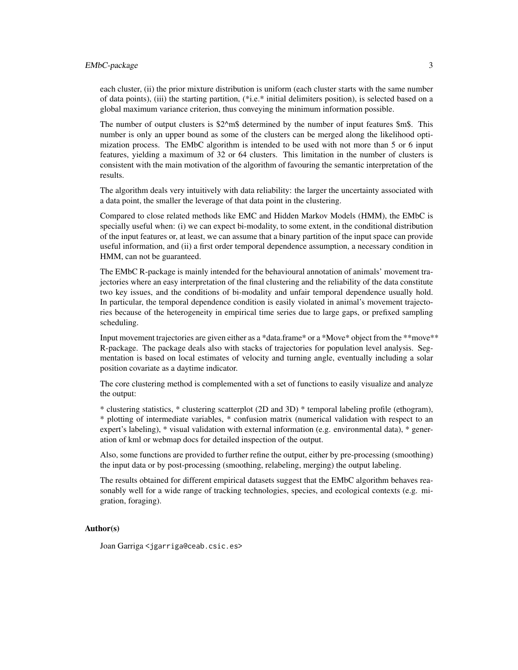# EMbC-package 3

each cluster, (ii) the prior mixture distribution is uniform (each cluster starts with the same number of data points), (iii) the starting partition, (\*i.e.\* initial delimiters position), is selected based on a global maximum variance criterion, thus conveying the minimum information possible.

The number of output clusters is  $$2^{\wedge}$ m\$ determined by the number of input features \$m\$. This number is only an upper bound as some of the clusters can be merged along the likelihood optimization process. The EMbC algorithm is intended to be used with not more than 5 or 6 input features, yielding a maximum of 32 or 64 clusters. This limitation in the number of clusters is consistent with the main motivation of the algorithm of favouring the semantic interpretation of the results.

The algorithm deals very intuitively with data reliability: the larger the uncertainty associated with a data point, the smaller the leverage of that data point in the clustering.

Compared to close related methods like EMC and Hidden Markov Models (HMM), the EMbC is specially useful when: (i) we can expect bi-modality, to some extent, in the conditional distribution of the input features or, at least, we can assume that a binary partition of the input space can provide useful information, and (ii) a first order temporal dependence assumption, a necessary condition in HMM, can not be guaranteed.

The EMbC R-package is mainly intended for the behavioural annotation of animals' movement trajectories where an easy interpretation of the final clustering and the reliability of the data constitute two key issues, and the conditions of bi-modality and unfair temporal dependence usually hold. In particular, the temporal dependence condition is easily violated in animal's movement trajectories because of the heterogeneity in empirical time series due to large gaps, or prefixed sampling scheduling.

Input movement trajectories are given either as a \*data.frame\* or a \*Move\* object from the \*\*move\*\* R-package. The package deals also with stacks of trajectories for population level analysis. Segmentation is based on local estimates of velocity and turning angle, eventually including a solar position covariate as a daytime indicator.

The core clustering method is complemented with a set of functions to easily visualize and analyze the output:

\* clustering statistics, \* clustering scatterplot (2D and 3D) \* temporal labeling profile (ethogram), \* plotting of intermediate variables, \* confusion matrix (numerical validation with respect to an expert's labeling), \* visual validation with external information (e.g. environmental data), \* generation of kml or webmap docs for detailed inspection of the output.

Also, some functions are provided to further refine the output, either by pre-processing (smoothing) the input data or by post-processing (smoothing, relabeling, merging) the output labeling.

The results obtained for different empirical datasets suggest that the EMbC algorithm behaves reasonably well for a wide range of tracking technologies, species, and ecological contexts (e.g. migration, foraging).

#### Author(s)

Joan Garriga <jgarriga@ceab.csic.es>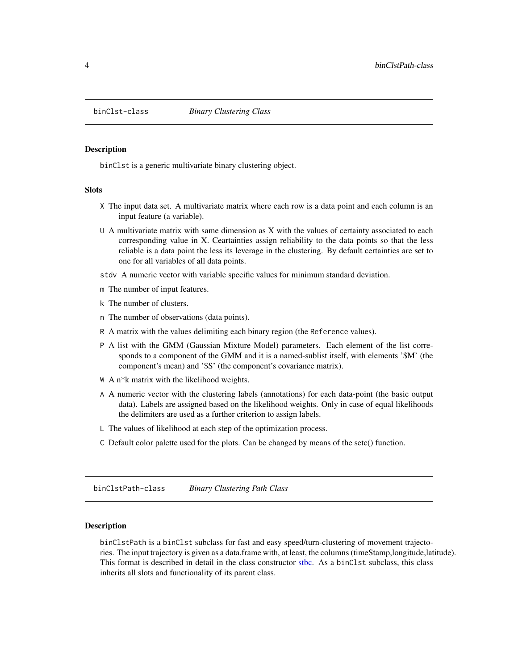<span id="page-3-0"></span>

#### Description

binClst is a generic multivariate binary clustering object.

#### Slots

- X The input data set. A multivariate matrix where each row is a data point and each column is an input feature (a variable).
- U A multivariate matrix with same dimension as X with the values of certainty associated to each corresponding value in X. Ceartainties assign reliability to the data points so that the less reliable is a data point the less its leverage in the clustering. By default certainties are set to one for all variables of all data points.

stdv A numeric vector with variable specific values for minimum standard deviation.

- m The number of input features.
- k The number of clusters.
- n The number of observations (data points).
- R A matrix with the values delimiting each binary region (the Reference values).
- P A list with the GMM (Gaussian Mixture Model) parameters. Each element of the list corresponds to a component of the GMM and it is a named-sublist itself, with elements '\$M' (the component's mean) and '\$S' (the component's covariance matrix).
- W A n\*k matrix with the likelihood weights.
- A A numeric vector with the clustering labels (annotations) for each data-point (the basic output data). Labels are assigned based on the likelihood weights. Only in case of equal likelihoods the delimiters are used as a further criterion to assign labels.
- L The values of likelihood at each step of the optimization process.
- C Default color palette used for the plots. Can be changed by means of the setc() function.

binClstPath-class *Binary Clustering Path Class*

# Description

binClstPath is a binClst subclass for fast and easy speed/turn-clustering of movement trajectories. The input trajectory is given as a data.frame with, at least, the columns (timeStamp,longitude,latitude). This format is described in detail in the class constructor [stbc.](#page-19-1) As a binClst subclass, this class inherits all slots and functionality of its parent class.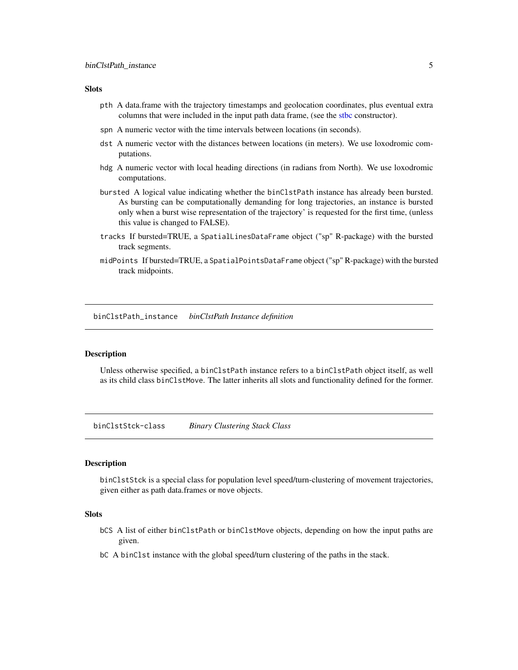#### <span id="page-4-0"></span>**Slots**

- pth A data.frame with the trajectory timestamps and geolocation coordinates, plus eventual extra columns that were included in the input path data frame, (see the [stbc](#page-19-1) constructor).
- spn A numeric vector with the time intervals between locations (in seconds).
- dst A numeric vector with the distances between locations (in meters). We use loxodromic computations.
- hdg A numeric vector with local heading directions (in radians from North). We use loxodromic computations.
- bursted A logical value indicating whether the binClstPath instance has already been bursted. As bursting can be computationally demanding for long trajectories, an instance is bursted only when a burst wise representation of the trajectory' is requested for the first time, (unless this value is changed to FALSE).
- tracks If bursted=TRUE, a SpatialLinesDataFrame object ("sp" R-package) with the bursted track segments.
- midPoints If bursted=TRUE, a SpatialPointsDataFrame object ("sp" R-package) with the bursted track midpoints.

<span id="page-4-1"></span>binClstPath\_instance *binClstPath Instance definition*

#### Description

Unless otherwise specified, a binClstPath instance refers to a binClstPath object itself, as well as its child class binClstMove. The latter inherits all slots and functionality defined for the former.

binClstStck-class *Binary Clustering Stack Class*

#### Description

binClstStck is a special class for population level speed/turn-clustering of movement trajectories, given either as path data.frames or move objects.

#### Slots

- bCS A list of either binClstPath or binClstMove objects, depending on how the input paths are given.
- bC A binClst instance with the global speed/turn clustering of the paths in the stack.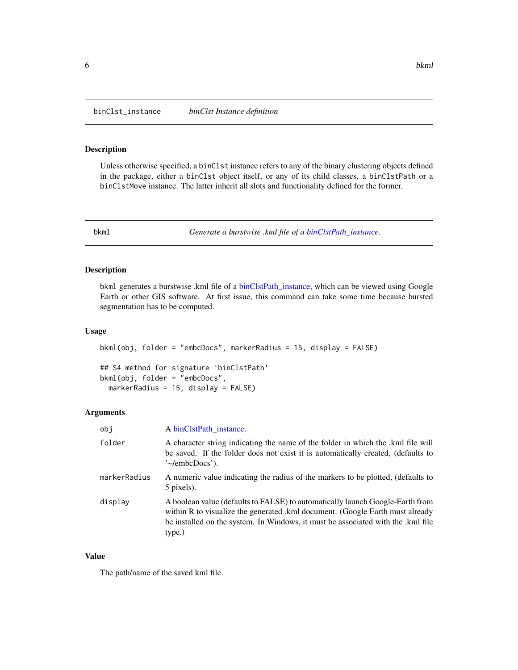<span id="page-5-1"></span><span id="page-5-0"></span>binClst\_instance *binClst Instance definition*

# Description

Unless otherwise specified, a binClst instance refers to any of the binary clustering objects defined in the package, either a binClst object itself, or any of its child classes, a binClstPath or a binClstMove instance. The latter inherit all slots and functionality defined for the former.

<span id="page-5-2"></span>

bkml *Generate a burstwise .kml file of a [binClstPath\\_instance.](#page-4-1)*

#### Description

bkml generates a burstwise .kml file of a [binClstPath\\_instance,](#page-4-1) which can be viewed using Google Earth or other GIS software. At first issue, this command can take some time because bursted segmentation has to be computed.

# Usage

```
bkml(obj, folder = "embcDocs", markerRadius = 15, display = FALSE)
```
## S4 method for signature 'binClstPath' bkml(obj, folder = "embcDocs", markerRadius = 15, display = FALSE)

#### Arguments

| obj          | A binClstPath_instance.                                                                                                                                                                                                                                      |
|--------------|--------------------------------------------------------------------------------------------------------------------------------------------------------------------------------------------------------------------------------------------------------------|
| folder       | A character string indicating the name of the folder in which the .kml file will<br>be saved. If the folder does not exist it is automatically created, (defaults to<br>'~/embcDocs').                                                                       |
| markerRadius | A numeric value indicating the radius of the markers to be plotted, (defaults to<br>5 pixels).                                                                                                                                                               |
| display      | A boolean value (defaults to FALSE) to automatically launch Google-Earth from<br>within R to visualize the generated .kml document. (Google Earth must already<br>be installed on the system. In Windows, it must be associated with the .kml file<br>type.) |

#### Value

The path/name of the saved kml file.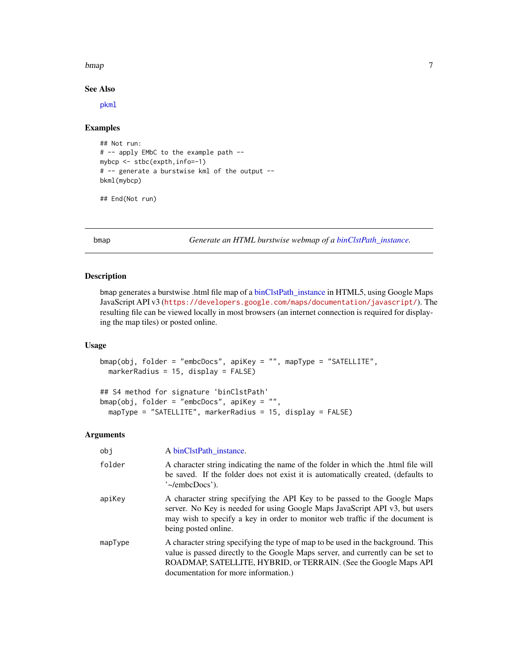#### <span id="page-6-0"></span>bmap 7

# See Also

[pkml](#page-12-1)

# Examples

```
## Not run:
# -- apply EMbC to the example path --
mybcp <- stbc(expth,info=-1)
# -- generate a burstwise kml of the output --
bkml(mybcp)
```

```
## End(Not run)
```
bmap *Generate an HTML burstwise webmap of a [binClstPath\\_instance.](#page-4-1)*

# Description

bmap generates a burstwise .html file map of a [binClstPath\\_instance](#page-4-1) in HTML5, using Google Maps JavaScript API v3 (<https://developers.google.com/maps/documentation/javascript/>). The resulting file can be viewed locally in most browsers (an internet connection is required for displaying the map tiles) or posted online.

#### Usage

```
bmap(obj, folder = "embcDocs", apiKey = "", mapType = "SATELLITE",
 markerRadius = 15, display = FALSE)
```

```
## S4 method for signature 'binClstPath'
bmap(obj, folder = "embcDocs", apiKey = "",
 mapType = "SATELLITE", markerRadius = 15, display = FALSE)
```

| obj     | A binClstPath instance.                                                                                                                                                                                                                                                         |
|---------|---------------------------------------------------------------------------------------------------------------------------------------------------------------------------------------------------------------------------------------------------------------------------------|
| folder  | A character string indicating the name of the folder in which the .html file will<br>be saved. If the folder does not exist it is automatically created, (defaults to<br>$\degree$ -/embcDocs').                                                                                |
| apiKey  | A character string specifying the API Key to be passed to the Google Maps<br>server. No Key is needed for using Google Maps JavaScript API v3, but users<br>may wish to specify a key in order to monitor web traffic if the document is<br>being posted online.                |
| mapType | A character string specifying the type of map to be used in the background. This<br>value is passed directly to the Google Maps server, and currently can be set to<br>ROADMAP, SATELLITE, HYBRID, or TERRAIN. (See the Google Maps API<br>documentation for more information.) |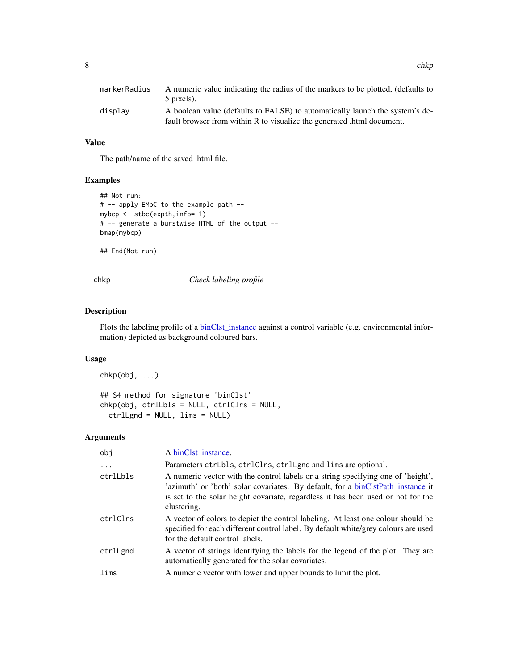<span id="page-7-0"></span>

| markerRadius | A numeric value indicating the radius of the markers to be plotted, (defaults to |
|--------------|----------------------------------------------------------------------------------|
|              | 5 pixels).                                                                       |
| displav      | A boolean value (defaults to FALSE) to automatically launch the system's de-     |
|              | fault browser from within R to visualize the generated .html document.           |

### Value

The path/name of the saved .html file.

# Examples

```
## Not run:
# -- apply EMbC to the example path --
mybcp <- stbc(expth,info=-1)
# -- generate a burstwise HTML of the output --
bmap(mybcp)
```
## End(Not run)

chkp *Check labeling profile*

# Description

Plots the labeling profile of a [binClst\\_instance](#page-5-1) against a control variable (e.g. environmental information) depicted as background coloured bars.

# Usage

chkp(obj, ...) ## S4 method for signature 'binClst' chkp(obj, ctrlLbls = NULL, ctrlClrs = NULL, ctrlLgnd = NULL, lims = NULL)

| obj      | A binClst instance.                                                                                                                                                                                                                                                    |
|----------|------------------------------------------------------------------------------------------------------------------------------------------------------------------------------------------------------------------------------------------------------------------------|
| $\cdots$ | Parameters ctrLbls, ctrlClrs, ctrlLgnd and lims are optional.                                                                                                                                                                                                          |
| ctrlLbls | A numeric vector with the control labels or a string specifying one of 'height',<br>'azimuth' or 'both' solar covariates. By default, for a binClstPath_instance it<br>is set to the solar height covariate, regardless it has been used or not for the<br>clustering. |
| ctrlClrs | A vector of colors to depict the control labeling. At least one colour should be<br>specified for each different control label. By default white/grey colours are used<br>for the default control labels.                                                              |
| ctrlLgnd | A vector of strings identifying the labels for the legend of the plot. They are<br>automatically generated for the solar covariates.                                                                                                                                   |
| lims     | A numeric vector with lower and upper bounds to limit the plot.                                                                                                                                                                                                        |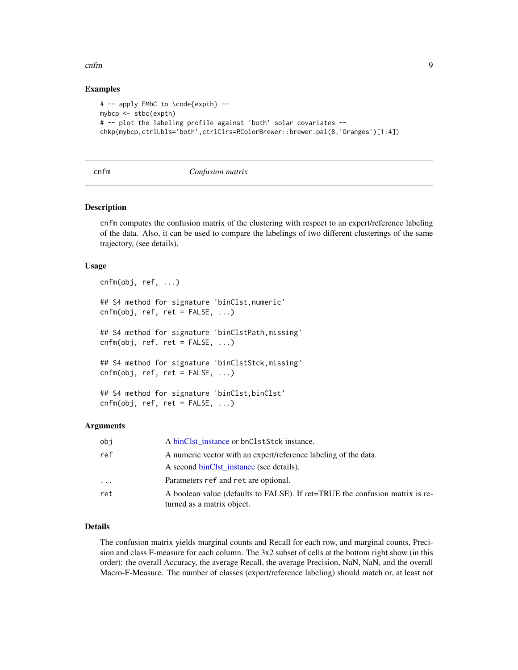#### <span id="page-8-0"></span>cnfm 9

# Examples

```
# -- apply EMbC to \code{expth} --
mybcp <- stbc(expth)
# -- plot the labeling profile against 'both' solar covariates --
chkp(mybcp,ctrlLbls='both',ctrlClrs=RColorBrewer::brewer.pal(8,'Oranges')[1:4])
```
#### cnfm *Confusion matrix*

#### Description

cnfm computes the confusion matrix of the clustering with respect to an expert/reference labeling of the data. Also, it can be used to compare the labelings of two different clusterings of the same trajectory, (see details).

#### Usage

```
cnfm(obj, ref, ...)
## S4 method for signature 'binClst,numeric'
cnfm(obj, ref, ret = FALSE, ...)## S4 method for signature 'binClstPath,missing'
cnfm(obj, ref, ret = FALSE, ...)## S4 method for signature 'binClstStck,missing'
cnfm(obj, ref, ret = FALSE, ...)## S4 method for signature 'binClst, binClst'
```
 $cnfm(obj, ref, ret = FALSE, ...)$ 

# Arguments

| obi     | A binClst instance or bnClstStck instance.                                                                  |
|---------|-------------------------------------------------------------------------------------------------------------|
| ref     | A numeric vector with an expert/reference labeling of the data.<br>A second binClst instance (see details). |
| $\cdot$ | Parameters ref and ret are optional.                                                                        |
| ret     | A boolean value (defaults to FALSE). If ret=TRUE the confusion matrix is re-<br>turned as a matrix object.  |

# Details

The confusion matrix yields marginal counts and Recall for each row, and marginal counts, Precision and class F-measure for each column. The 3x2 subset of cells at the bottom right show (in this order): the overall Accuracy, the average Recall, the average Precision, NaN, NaN, and the overall Macro-F-Measure. The number of classes (expert/reference labeling) should match or, at least not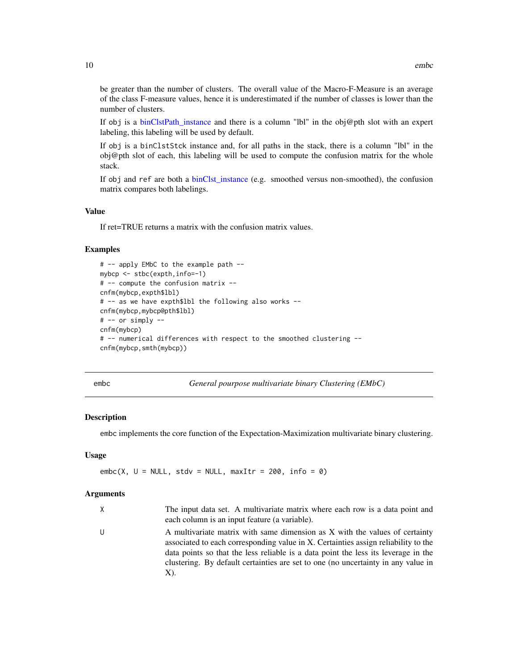<span id="page-9-0"></span>be greater than the number of clusters. The overall value of the Macro-F-Measure is an average of the class F-measure values, hence it is underestimated if the number of classes is lower than the number of clusters.

If obj is a binClstPath instance and there is a column "lbl" in the obj@pth slot with an expert labeling, this labeling will be used by default.

If obj is a binClstStck instance and, for all paths in the stack, there is a column "lbl" in the  $obj@pth$  slot of each, this labeling will be used to compute the confusion matrix for the whole stack.

If obj and ref are both a [binClst\\_instance](#page-5-1) (e.g. smoothed versus non-smoothed), the confusion matrix compares both labelings.

# Value

If ret=TRUE returns a matrix with the confusion matrix values.

#### Examples

```
# -- apply EMbC to the example path --
mybcp <- stbc(expth,info=-1)
# -- compute the confusion matrix --
cnfm(mybcp,expth$lbl)
# -- as we have expth$lbl the following also works --
cnfm(mybcp,mybcp@pth$lbl)
# -- or simply --
cnfm(mybcp)
# -- numerical differences with respect to the smoothed clustering --
cnfm(mybcp,smth(mybcp))
```
<span id="page-9-1"></span>embc *General pourpose multivariate binary Clustering (EMbC)*

#### **Description**

embc implements the core function of the Expectation-Maximization multivariate binary clustering.

#### Usage

embc(X,  $U = NULL$ , stdv = NULL, maxItr = 200, info = 0)

| $\times$ | The input data set. A multivariate matrix where each row is a data point and<br>each column is an input feature (a variable).                                                                                                                                                                                                                       |
|----------|-----------------------------------------------------------------------------------------------------------------------------------------------------------------------------------------------------------------------------------------------------------------------------------------------------------------------------------------------------|
| U        | A multivariate matrix with same dimension as X with the values of certainty<br>associated to each corresponding value in X. Certainties assign reliability to the<br>data points so that the less reliable is a data point the less its leverage in the<br>clustering. By default certainties are set to one (no uncertainty in any value in<br>X). |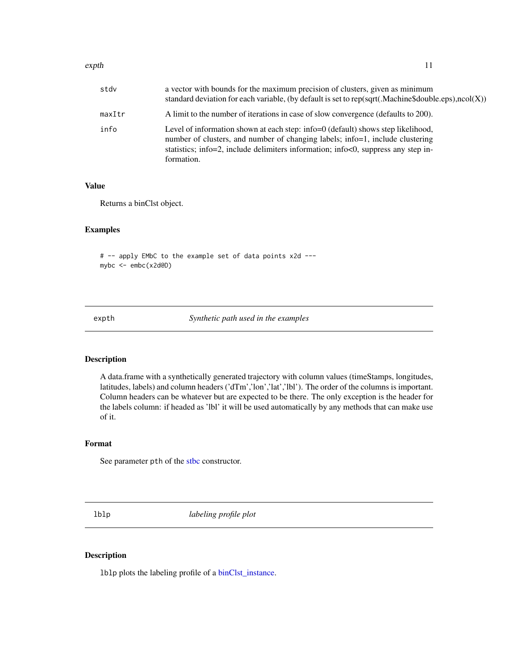#### <span id="page-10-0"></span>expth the contract of the contract of the contract of the contract of the contract of the contract of the contract of the contract of the contract of the contract of the contract of the contract of the contract of the cont

| stdv   | a vector with bounds for the maximum precision of clusters, given as minimum<br>standard deviation for each variable, (by default is set to rep(sqrt(.Machine\$double.eps), ncol(X))                                                                                 |
|--------|----------------------------------------------------------------------------------------------------------------------------------------------------------------------------------------------------------------------------------------------------------------------|
| maxItr | A limit to the number of iterations in case of slow convergence (defaults to 200).                                                                                                                                                                                   |
| info   | Level of information shown at each step: info=0 (default) shows step likelihood,<br>number of clusters, and number of changing labels; info=1, include clustering<br>statistics; info=2, include delimiters information; info<0, suppress any step in-<br>formation. |

# Value

Returns a binClst object.

#### Examples

# -- apply EMbC to the example set of data points x2d -- mybc <- embc(x2d@D)

expth *Synthetic path used in the examples*

# Description

A data.frame with a synthetically generated trajectory with column values (timeStamps, longitudes, latitudes, labels) and column headers ('dTm','lon','lat','lbl'). The order of the columns is important. Column headers can be whatever but are expected to be there. The only exception is the header for the labels column: if headed as 'lbl' it will be used automatically by any methods that can make use of it.

# Format

See parameter pth of the [stbc](#page-19-1) constructor.

lblp *labeling profile plot*

# Description

lblp plots the labeling profile of a [binClst\\_instance.](#page-5-1)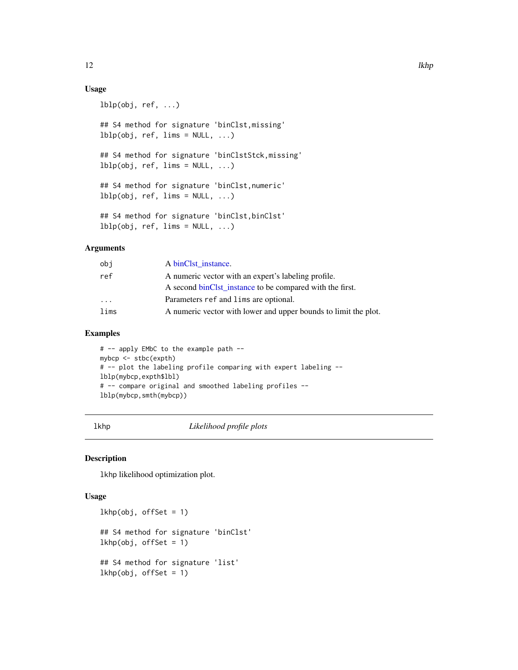# Usage

```
lblp(obj, ref, ...)## S4 method for signature 'binClst,missing'
lblp(obj, ref, lines = NULL, ...)## S4 method for signature 'binClstStck,missing'
lblp(obj, ref, lines = NULL, ...)## S4 method for signature 'binClst,numeric'
lblp(obj, ref, lines = NULL, ...)## S4 method for signature 'binClst, binClst'
lblp(obj, ref, lines = NULL, ...)
```
#### Arguments

| obj  | A binClst instance.                                             |
|------|-----------------------------------------------------------------|
| ref  | A numeric vector with an expert's labeling profile.             |
|      | A second binClst_instance to be compared with the first.        |
| .    | Parameters ref and lims are optional.                           |
| lims | A numeric vector with lower and upper bounds to limit the plot. |
|      |                                                                 |

#### Examples

# -- apply EMbC to the example path - mybcp <- stbc(expth) # -- plot the labeling profile comparing with expert labeling - lblp(mybcp,expth\$lbl) # -- compare original and smoothed labeling profiles - lblp(mybcp,smth(mybcp))

lkhp *Likelihood profile plots*

#### Description

lkhp likelihood optimization plot.

#### Usage

```
lkhp(obj, offSet = 1)
## S4 method for signature 'binClst'
lkhp(obj, offset = 1)## S4 method for signature 'list'
lkhp(obj, offset = 1)
```
<span id="page-11-0"></span>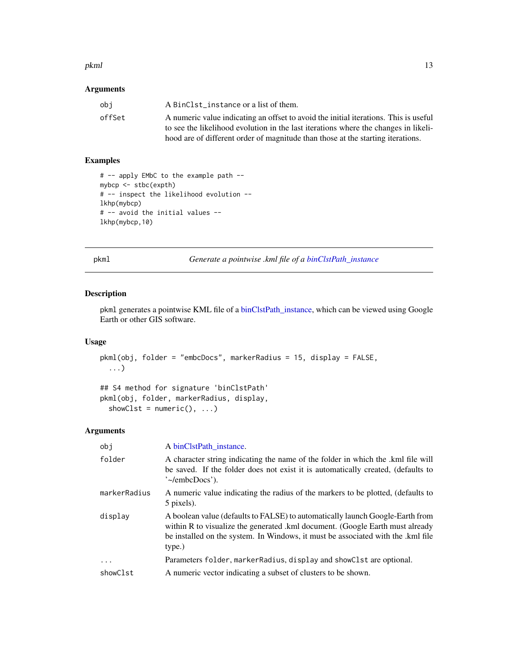#### <span id="page-12-0"></span>pkml and the contract of the contract of the contract of the contract of the contract of the contract of the contract of the contract of the contract of the contract of the contract of the contract of the contract of the c

# Arguments

| obi    | A BinClst instance or a list of them.                                                |
|--------|--------------------------------------------------------------------------------------|
| offSet | A numeric value indicating an offset to avoid the initial iterations. This is useful |
|        | to see the likelihood evolution in the last iterations where the changes in likeli-  |
|        | hood are of different order of magnitude than those at the starting iterations.      |

# Examples

```
# -- apply EMbC to the example path --
mybcp <- stbc(expth)
# -- inspect the likelihood evolution --
lkhp(mybcp)
# -- avoid the initial values --
lkhp(mybcp,10)
```
<span id="page-12-1"></span>pkml *Generate a pointwise .kml file of a [binClstPath\\_instance](#page-4-1)*

# Description

pkml generates a pointwise KML file of a [binClstPath\\_instance,](#page-4-1) which can be viewed using Google Earth or other GIS software.

#### Usage

```
pkml(obj, folder = "embcDocs", markerRadius = 15, display = FALSE,
  ...)
```

```
## S4 method for signature 'binClstPath'
pkml(obj, folder, markerRadius, display,
 showClst = numeric(), ...)
```

| obj          | A binClstPath_instance.                                                                                                                                                                                                                                      |
|--------------|--------------------------------------------------------------------------------------------------------------------------------------------------------------------------------------------------------------------------------------------------------------|
| folder       | A character string indicating the name of the folder in which the .kml file will<br>be saved. If the folder does not exist it is automatically created, (defaults to<br>$\degree$ -/embcDocs').                                                              |
| markerRadius | A numeric value indicating the radius of the markers to be plotted, (defaults to<br>5 pixels).                                                                                                                                                               |
| display      | A boolean value (defaults to FALSE) to automatically launch Google-Earth from<br>within R to visualize the generated .kml document. (Google Earth must already<br>be installed on the system. In Windows, it must be associated with the .kml file<br>type.) |
| $\ddotsc$    | Parameters folder, marker Radius, display and show Clst are optional.                                                                                                                                                                                        |
| showClst     | A numeric vector indicating a subset of clusters to be shown.                                                                                                                                                                                                |
|              |                                                                                                                                                                                                                                                              |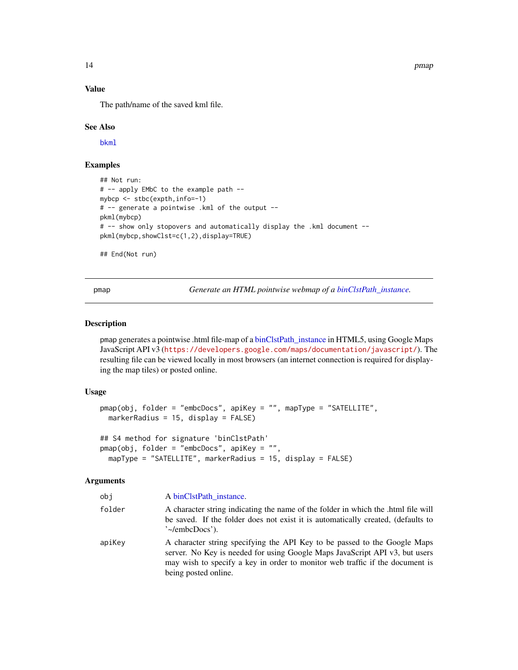14 pmap pmap pmap and the set of the set of the set of the set of the set of the set of the set of the set of the set of the set of the set of the set of the set of the set of the set of the set of the set of the set of th

# Value

The path/name of the saved kml file.

#### See Also

[bkml](#page-5-2)

# Examples

```
## Not run:
# -- apply EMbC to the example path --
mybcp <- stbc(expth,info=-1)
# -- generate a pointwise .kml of the output --
pkml(mybcp)
# -- show only stopovers and automatically display the .kml document --
pkml(mybcp,showClst=c(1,2),display=TRUE)
```
## End(Not run)

pmap *Generate an HTML pointwise webmap of a [binClstPath\\_instance.](#page-4-1)*

#### Description

pmap generates a pointwise .html file-map of a [binClstPath\\_instance](#page-4-1) in HTML5, using Google Maps JavaScript API v3 (<https://developers.google.com/maps/documentation/javascript/>). The resulting file can be viewed locally in most browsers (an internet connection is required for displaying the map tiles) or posted online.

# Usage

```
pmap(obj, folder = "embcDocs", apiKey = "", mapType = "SATELLITE",
 markerRadius = 15, display = FALSE)
## S4 method for signature 'binClstPath'
pmap(obj, folder = "embcDocs", apiKey = "",
 mapType = "SATELLITE", markerRadius = 15, display = FALSE)
```

| obj    | A binClstPath_instance.                                                                                                                                                                                                                                          |
|--------|------------------------------------------------------------------------------------------------------------------------------------------------------------------------------------------------------------------------------------------------------------------|
| folder | A character string indicating the name of the folder in which the .html file will<br>be saved. If the folder does not exist it is automatically created, (defaults to<br>$\degree$ -/embcDocs').                                                                 |
| apiKey | A character string specifying the API Key to be passed to the Google Maps<br>server. No Key is needed for using Google Maps JavaScript API v3, but users<br>may wish to specify a key in order to monitor web traffic if the document is<br>being posted online. |

<span id="page-13-0"></span>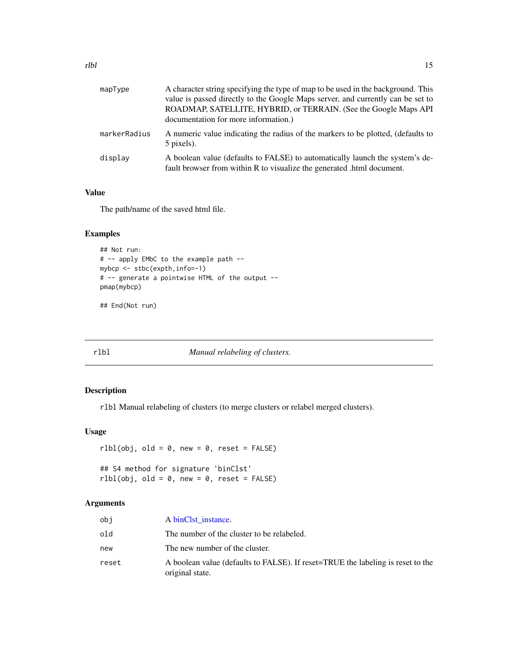<span id="page-14-0"></span>

| mapType      | A character string specifying the type of map to be used in the background. This<br>value is passed directly to the Google Maps server, and currently can be set to<br>ROADMAP, SATELLITE, HYBRID, or TERRAIN. (See the Google Maps API<br>documentation for more information.) |
|--------------|---------------------------------------------------------------------------------------------------------------------------------------------------------------------------------------------------------------------------------------------------------------------------------|
| markerRadius | A numeric value indicating the radius of the markers to be plotted, (defaults to<br>5 pixels).                                                                                                                                                                                  |
| displav      | A boolean value (defaults to FALSE) to automatically launch the system's de-<br>fault browser from within R to visualize the generated .html document.                                                                                                                          |

#### Value

The path/name of the saved html file.

# Examples

```
## Not run:
# -- apply EMbC to the example path --
mybcp <- stbc(expth,info=-1)
# -- generate a pointwise HTML of the output --
pmap(mybcp)
```
## End(Not run)

rlbl *Manual relabeling of clusters.*

# Description

rlbl Manual relabeling of clusters (to merge clusters or relabel merged clusters).

# Usage

```
r1bl(obj, old = 0, new = 0, reset = FALSE)## S4 method for signature 'binClst'
r1bl(obj, old = 0, new = 0, reset = FALSE)
```

| obi   | A binClst instance.                                                                                |
|-------|----------------------------------------------------------------------------------------------------|
| old   | The number of the cluster to be relabeled.                                                         |
| new   | The new number of the cluster.                                                                     |
| reset | A boolean value (defaults to FALSE). If reset=TRUE the labeling is reset to the<br>original state. |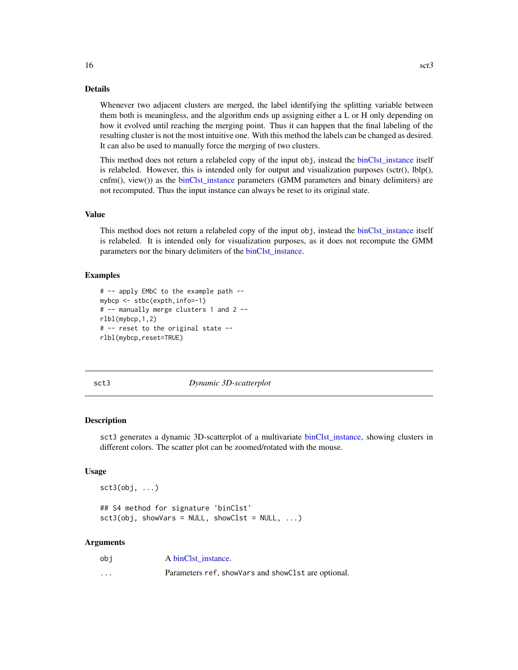#### Details

Whenever two adjacent clusters are merged, the label identifying the splitting variable between them both is meaningless, and the algorithm ends up assigning either a L or H only depending on how it evolved until reaching the merging point. Thus it can happen that the final labeling of the resulting cluster is not the most intuitive one. With this method the labels can be changed as desired. It can also be used to manually force the merging of two clusters.

This method does not return a relabeled copy of the input obj, instead the [binClst\\_instance](#page-5-1) itself is relabeled. However, this is intended only for output and visualization purposes  $(\text{scr}(i), \text{lbp}(i))$ , cnfm(), view()) as the [binClst\\_instance](#page-5-1) parameters (GMM parameters and binary delimiters) are not recomputed. Thus the input instance can always be reset to its original state.

#### Value

This method does not return a relabeled copy of the input obj, instead the [binClst\\_instance](#page-5-1) itself is relabeled. It is intended only for visualization purposes, as it does not recompute the GMM parameters nor the binary delimiters of the [binClst\\_instance.](#page-5-1)

# Examples

```
# -- apply EMbC to the example path --
mybcp <- stbc(expth,info=-1)
# -- manually merge clusters 1 and 2 --
rlbl(mybcp,1,2)
# -- reset to the original state --
rlbl(mybcp,reset=TRUE)
```
sct3 *Dynamic 3D-scatterplot*

#### **Description**

sct3 generates a dynamic 3D-scatterplot of a multivariate [binClst\\_instance,](#page-5-1) showing clusters in different colors. The scatter plot can be zoomed/rotated with the mouse.

### Usage

sct3(obj, ...)

## S4 method for signature 'binClst'  $sct3(obj, showVars = NULL, showClst = NULL, ...)$ 

| obi      | A binClst instance.                                   |
|----------|-------------------------------------------------------|
| $\cdots$ | Parameters ref, show Vars and show Clst are optional. |

<span id="page-15-0"></span>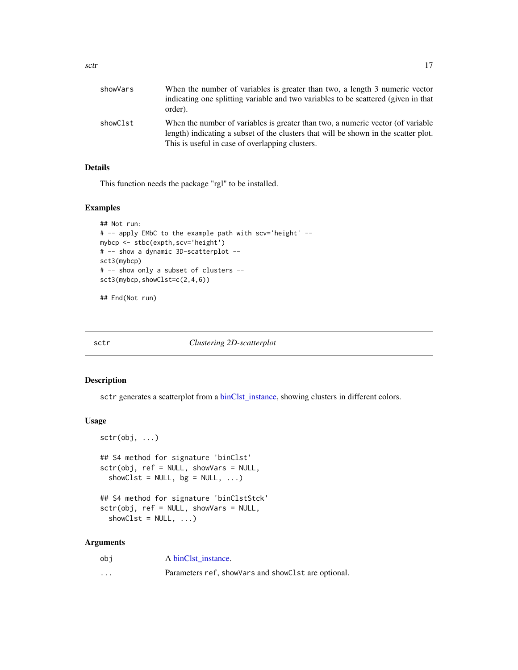<span id="page-16-0"></span>

| showVars | When the number of variables is greater than two, a length 3 numeric vector<br>indicating one splitting variable and two variables to be scattered (given in that<br>order).                                              |
|----------|---------------------------------------------------------------------------------------------------------------------------------------------------------------------------------------------------------------------------|
| showClst | When the number of variables is greater than two, a numeric vector (of variable<br>length) indicating a subset of the clusters that will be shown in the scatter plot.<br>This is useful in case of overlapping clusters. |

# Details

This function needs the package "rgl" to be installed.

#### Examples

```
## Not run:
# -- apply EMbC to the example path with scv='height' --
mybcp <- stbc(expth,scv='height')
# -- show a dynamic 3D-scatterplot --
sct3(mybcp)
# -- show only a subset of clusters --
sct3(mybcp,showClst=c(2,4,6))
```
## End(Not run)

sctr *Clustering 2D-scatterplot*

# Description

sctr generates a scatterplot from a [binClst\\_instance,](#page-5-1) showing clusters in different colors.

#### Usage

```
sctr(obj, ...)
## S4 method for signature 'binClst'
sctr(obj, ref = NULL, showVars = NULL,
  showClst = NULL, bg = NULL, ...)## S4 method for signature 'binClstStck'
sctr(obj, ref = NULL, showVars = NULL,
  showClst = NULL, ...)
```

| obi                     | A binClst instance.                                   |
|-------------------------|-------------------------------------------------------|
| $\cdot$ $\cdot$ $\cdot$ | Parameters ref, show Vars and show Clst are optional. |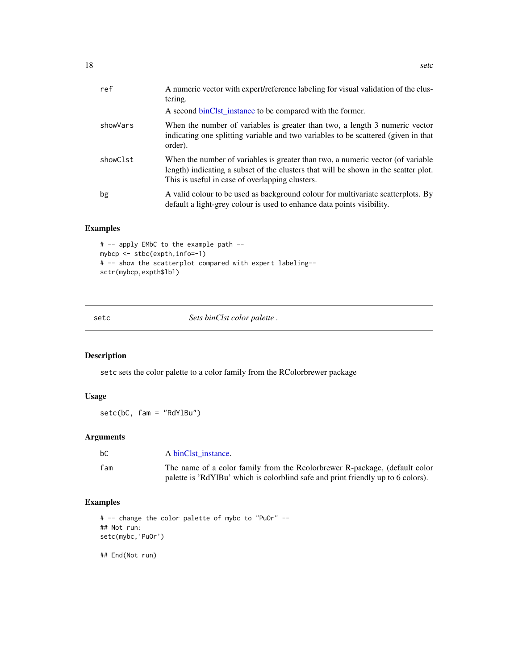<span id="page-17-0"></span>

| ref      | A numeric vector with expert/reference labeling for visual validation of the clus-<br>tering.                                                                                                                             |
|----------|---------------------------------------------------------------------------------------------------------------------------------------------------------------------------------------------------------------------------|
|          | A second binClst_instance to be compared with the former.                                                                                                                                                                 |
| showVars | When the number of variables is greater than two, a length 3 numeric vector<br>indicating one splitting variable and two variables to be scattered (given in that<br>order).                                              |
| showClst | When the number of variables is greater than two, a numeric vector (of variable<br>length) indicating a subset of the clusters that will be shown in the scatter plot.<br>This is useful in case of overlapping clusters. |
| bg       | A valid colour to be used as background colour for multivariate scatterplots. By<br>default a light-grey colour is used to enhance data points visibility.                                                                |

# Examples

```
# -- apply EMbC to the example path --
mybcp <- stbc(expth,info=-1)
# -- show the scatterplot compared with expert labeling--
sctr(mybcp,expth$lbl)
```
setc *Sets binClst color palette .*

# Description

setc sets the color palette to a color family from the RColorbrewer package

# Usage

setc(bC, fam = "RdYlBu")

# Arguments

| bС  | A binClst instance.        |
|-----|----------------------------|
| fam | The name of a color family |

fam The name of a color family from the Rcolorbrewer R-package, (default color palette is 'RdYlBu' which is colorblind safe and print friendly up to 6 colors).

# Examples

```
# -- change the color palette of mybc to "PuOr" --
## Not run:
setc(mybc,'PuOr')
## End(Not run)
```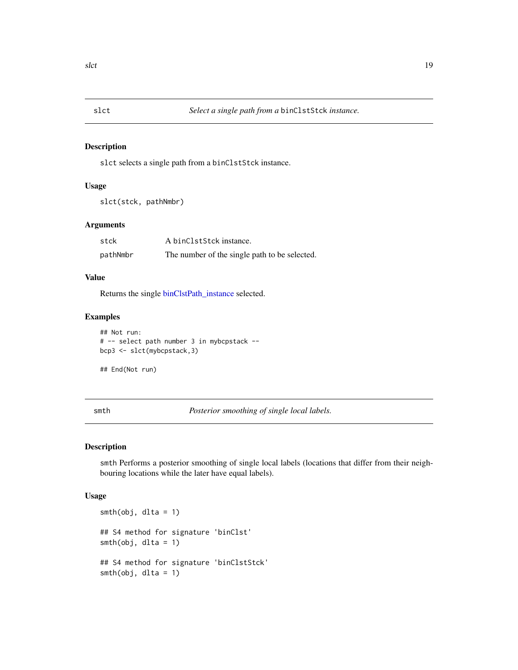<span id="page-18-0"></span>

### Description

slct selects a single path from a binClstStck instance.

# Usage

```
slct(stck, pathNmbr)
```
# Arguments

| stck     | A binClstStck instance.                       |
|----------|-----------------------------------------------|
| pathNmbr | The number of the single path to be selected. |

# Value

Returns the single [binClstPath\\_instance](#page-4-1) selected.

# Examples

```
## Not run:
# -- select path number 3 in mybcpstack --
bcp3 <- slct(mybcpstack,3)
```
## End(Not run)

smth *Posterior smoothing of single local labels.*

# Description

smth Performs a posterior smoothing of single local labels (locations that differ from their neighbouring locations while the later have equal labels).

#### Usage

```
smth(obj, dlta = 1)
## S4 method for signature 'binClst'
smth(obj, dlta = 1)
## S4 method for signature 'binClstStck'
smth(obj, dlta = 1)
```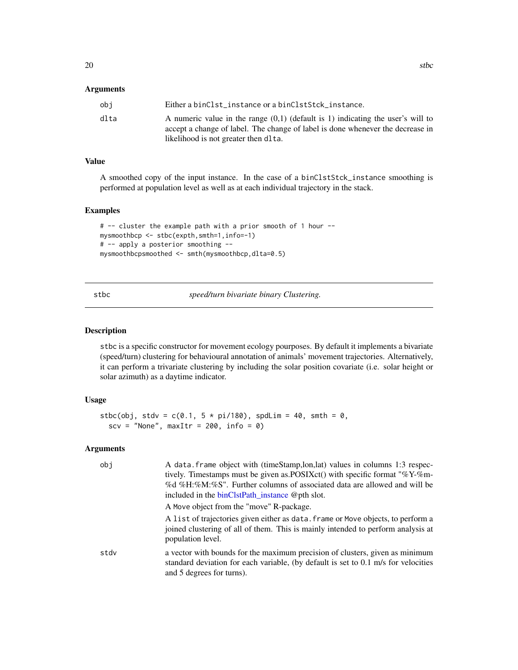#### <span id="page-19-0"></span>**Arguments**

| obi  | Either a binClst instance or a binClstStck instance.                                                                                                                |
|------|---------------------------------------------------------------------------------------------------------------------------------------------------------------------|
| dlta | A numeric value in the range $(0,1)$ (default is 1) indicating the user's will to<br>accept a change of label. The change of label is done whenever the decrease in |
|      | likelihood is not greater then dlta.                                                                                                                                |

# Value

A smoothed copy of the input instance. In the case of a binClstStck\_instance smoothing is performed at population level as well as at each individual trajectory in the stack.

### Examples

```
# -- cluster the example path with a prior smooth of 1 hour --
mysmoothbcp <- stbc(expth,smth=1,info=-1)
# -- apply a posterior smoothing --
mysmoothbcpsmoothed <- smth(mysmoothbcp,dlta=0.5)
```
<span id="page-19-1"></span>stbc *speed/turn bivariate binary Clustering.*

#### Description

stbc is a specific constructor for movement ecology pourposes. By default it implements a bivariate (speed/turn) clustering for behavioural annotation of animals' movement trajectories. Alternatively, it can perform a trivariate clustering by including the solar position covariate (i.e. solar height or solar azimuth) as a daytime indicator.

### Usage

```
stbc(obj, stdv = c(0.1, 5 * pi/180), spdLim = 40, smth = 0,
 scv = "None", maxItr = 200, info = 0)
```

| obi  | A data frame object with (timeStamp, lon, lat) values in columns 1:3 respec-<br>tively. Timestamps must be given as POSIXct() with specific format "%Y-%m-<br>%d %H:%M:%S". Further columns of associated data are allowed and will be<br>included in the binClstPath_instance @pth slot.<br>A Move object from the "move" R-package. |
|------|---------------------------------------------------------------------------------------------------------------------------------------------------------------------------------------------------------------------------------------------------------------------------------------------------------------------------------------|
|      | A list of trajectories given either as data. frame or Move objects, to perform a<br>joined clustering of all of them. This is mainly intended to perform analysis at<br>population level.                                                                                                                                             |
| stdv | a vector with bounds for the maximum precision of clusters, given as minimum<br>standard deviation for each variable, (by default is set to 0.1 m/s for velocities<br>and 5 degrees for turns).                                                                                                                                       |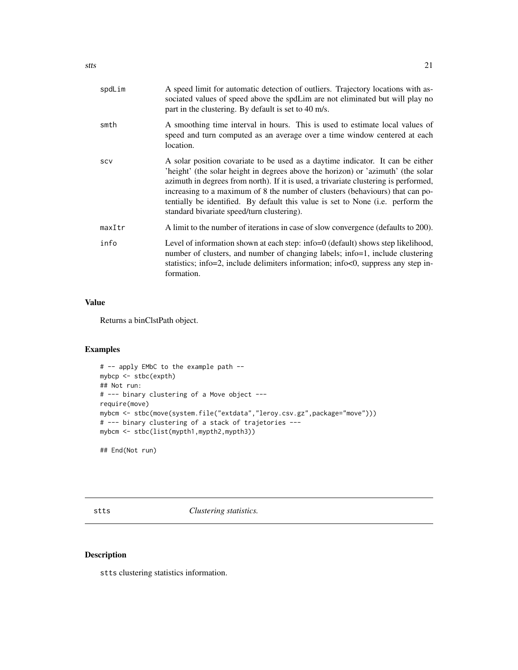<span id="page-20-0"></span>

| spdLim | A speed limit for automatic detection of outliers. Trajectory locations with as-<br>sociated values of speed above the spdLim are not eliminated but will play no<br>part in the clustering. By default is set to 40 m/s.                                                                                                                                                                                                                                                            |
|--------|--------------------------------------------------------------------------------------------------------------------------------------------------------------------------------------------------------------------------------------------------------------------------------------------------------------------------------------------------------------------------------------------------------------------------------------------------------------------------------------|
| smth   | A smoothing time interval in hours. This is used to estimate local values of<br>speed and turn computed as an average over a time window centered at each<br>location.                                                                                                                                                                                                                                                                                                               |
| SCV    | A solar position covariate to be used as a daytime indicator. It can be either<br>'height' (the solar height in degrees above the horizon) or 'azimuth' (the solar<br>azimuth in degrees from north). If it is used, a trivariate clustering is performed,<br>increasing to a maximum of 8 the number of clusters (behaviours) that can po-<br>tentially be identified. By default this value is set to None ( <i>i.e.</i> perform the<br>standard bivariate speed/turn clustering). |
| maxItr | A limit to the number of iterations in case of slow convergence (defaults to 200).                                                                                                                                                                                                                                                                                                                                                                                                   |
| info   | Level of information shown at each step: info=0 (default) shows step likelihood,<br>number of clusters, and number of changing labels; info=1, include clustering<br>statistics; info=2, include delimiters information; info<0, suppress any step in-<br>formation.                                                                                                                                                                                                                 |

# Value

Returns a binClstPath object.

# Examples

```
# -- apply EMbC to the example path --
mybcp <- stbc(expth)
## Not run:
# --- binary clustering of a Move object ---
require(move)
mybcm <- stbc(move(system.file("extdata","leroy.csv.gz",package="move")))
# --- binary clustering of a stack of trajetories ---
mybcm <- stbc(list(mypth1,mypth2,mypth3))
```
## End(Not run)

stts *Clustering statistics.*

# Description

stts clustering statistics information.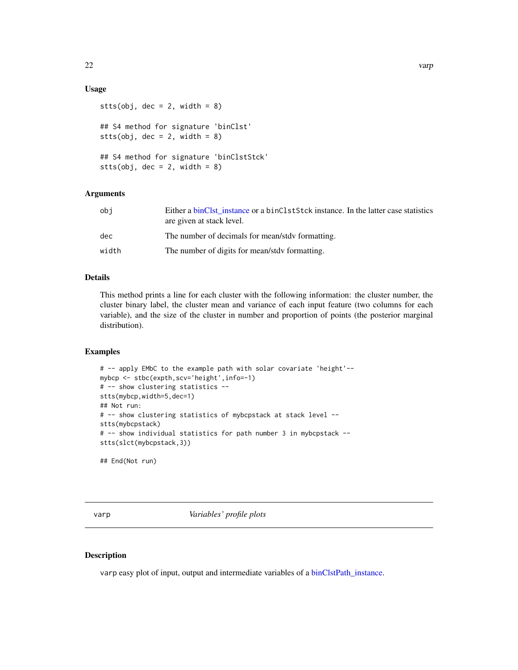# <span id="page-21-0"></span>Usage

```
stts(obj, dec = 2, width = 8)
## S4 method for signature 'binClst'
stts(obj, dec = 2, width = 8)
## S4 method for signature 'binClstStck'
stts(obj, dec = 2, width = 8)
```
# **Arguments**

| obi   | Either a binClst instance or a binClstStck instance. In the latter case statistics<br>are given at stack level. |
|-------|-----------------------------------------------------------------------------------------------------------------|
| dec   | The number of decimals for mean/stdy formatting.                                                                |
| width | The number of digits for mean/stdy formatting.                                                                  |
|       |                                                                                                                 |

# Details

This method prints a line for each cluster with the following information: the cluster number, the cluster binary label, the cluster mean and variance of each input feature (two columns for each variable), and the size of the cluster in number and proportion of points (the posterior marginal distribution).

#### Examples

```
# -- apply EMbC to the example path with solar covariate 'height'--
mybcp <- stbc(expth,scv='height',info=-1)
# -- show clustering statistics --
stts(mybcp,width=5,dec=1)
## Not run:
# -- show clustering statistics of mybcpstack at stack level --
stts(mybcpstack)
# -- show individual statistics for path number 3 in mybcpstack --
stts(slct(mybcpstack,3))
```
## End(Not run)

varp *Variables' profile plots*

#### Description

varp easy plot of input, output and intermediate variables of a [binClstPath\\_instance.](#page-4-1)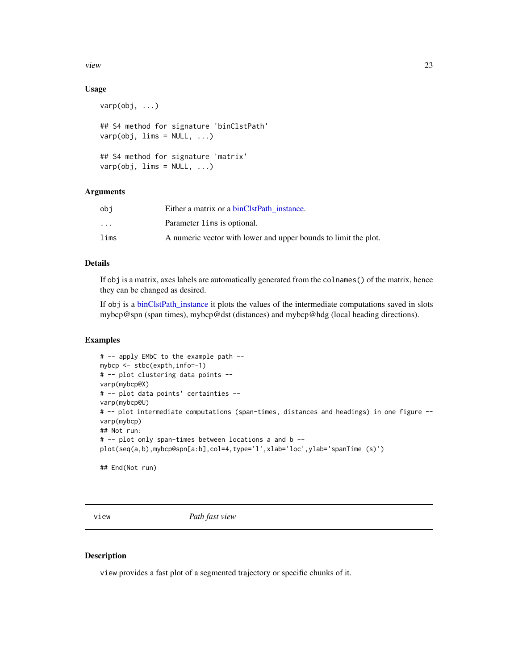<span id="page-22-0"></span>view 23

# Usage

```
varp(obj, ...)
## S4 method for signature 'binClstPath'
varp(obj, lines = NULL, ...)## S4 method for signature 'matrix'
varp(obj, lines = NULL, ...)
```
#### Arguments

| obi                     | Either a matrix or a binClstPath instance.                      |
|-------------------------|-----------------------------------------------------------------|
| $\cdot$ $\cdot$ $\cdot$ | Parameter lims is optional.                                     |
| lims                    | A numeric vector with lower and upper bounds to limit the plot. |

#### Details

If obj is a matrix, axes labels are automatically generated from the colnames() of the matrix, hence they can be changed as desired.

If obj is a [binClstPath\\_instance](#page-4-1) it plots the values of the intermediate computations saved in slots mybcp@spn (span times), mybcp@dst (distances) and mybcp@hdg (local heading directions).

# Examples

```
# -- apply EMbC to the example path --
mybcp <- stbc(expth,info=-1)
# -- plot clustering data points --
varp(mybcp@X)
# -- plot data points' certainties --
varp(mybcp@U)
# -- plot intermediate computations (span-times, distances and headings) in one figure --
varp(mybcp)
## Not run:
# -- plot only span-times between locations a and b --
plot(seq(a,b),mybcp@spn[a:b],col=4,type='l',xlab='loc',ylab='spanTime (s)')
## End(Not run)
```
view *Path fast view*

#### Description

view provides a fast plot of a segmented trajectory or specific chunks of it.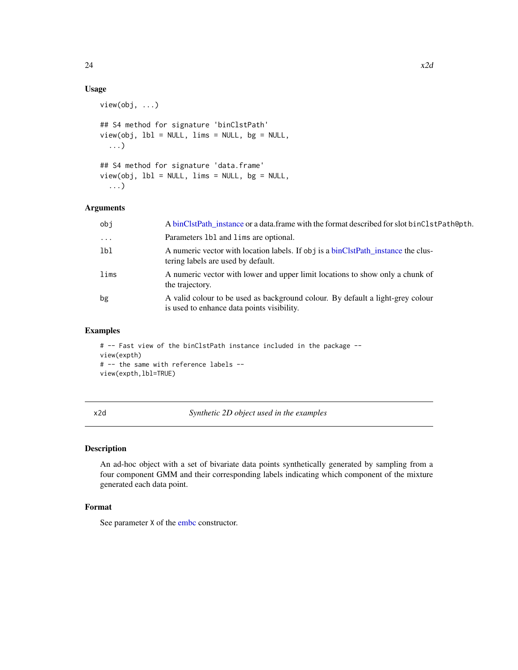# Usage

```
view(obj, ...)
## S4 method for signature 'binClstPath'
view(obj, lbl = NULL, lims = NULL, bg = NULL,
  ...)
## S4 method for signature 'data.frame'
view(obj, lbl = NULL, lims = NULL, bg = NULL,
  ...)
```
#### Arguments

| obj                 | A binClstPath_instance or a data.frame with the format described for slot binClstPath@pth.                                   |
|---------------------|------------------------------------------------------------------------------------------------------------------------------|
| $\cdot \cdot \cdot$ | Parameters 1b1 and 1 ims are optional.                                                                                       |
| lbl                 | A numeric vector with location labels. If obj is a binClstPath_instance the clus-<br>tering labels are used by default.      |
| lims                | A numeric vector with lower and upper limit locations to show only a chunk of<br>the trajectory.                             |
| bg                  | A valid colour to be used as background colour. By default a light-grey colour<br>is used to enhance data points visibility. |

# Examples

```
# -- Fast view of the binClstPath instance included in the package --
view(expth)
# -- the same with reference labels --
view(expth,lbl=TRUE)
```
x2d *Synthetic 2D object used in the examples*

#### Description

An ad-hoc object with a set of bivariate data points synthetically generated by sampling from a four component GMM and their corresponding labels indicating which component of the mixture generated each data point.

# Format

See parameter  $X$  of the [embc](#page-9-1) constructor.

<span id="page-23-0"></span>